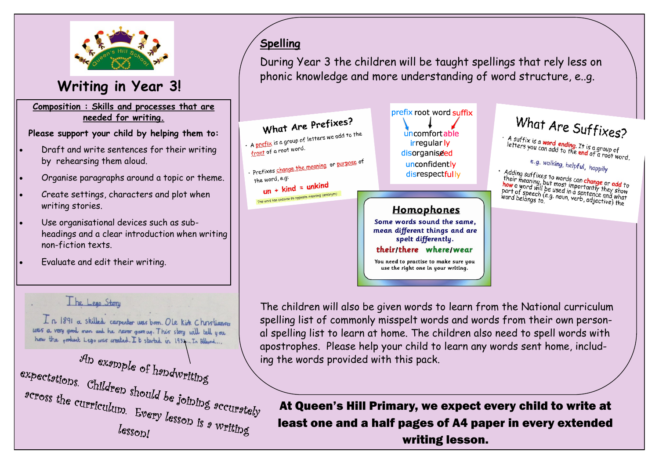

## **Writing in Year 3!**

#### **Composition : Skills and processes that are needed for writing.**

#### **Please support your child by helping them to:**

- Draft and write sentences for their writing by rehearsing them aloud.
- Organise paragraphs around a topic or theme.
- Create settings, characters and plot when writing stories.
- Use organisational devices such as subheadings and a clear introduction when writing non-fiction texts.
- Evaluate and edit their writing.

#### The Lego Story

In 1891 a skilled carpenter was born. Ole kirk Christianse was a very good man and he never gave up. This story will tell you how the product Lego was created. It started in 1932. In Billund...



## **Spelling**

During Year 3 the children will be taught spellings that rely less on phonic knowledge and more understanding of word structure, e..g.



The children will also be given words to learn from the National curriculum spelling list of commonly misspelt words and words from their own personal spelling list to learn at home. The children also need to spell words with apostrophes. Please help your child to learn any words sent home, includ-

At Queen's Hill Primary, we expect every child to write at least one and a half pages of A4 paper in every extended writing lesson.